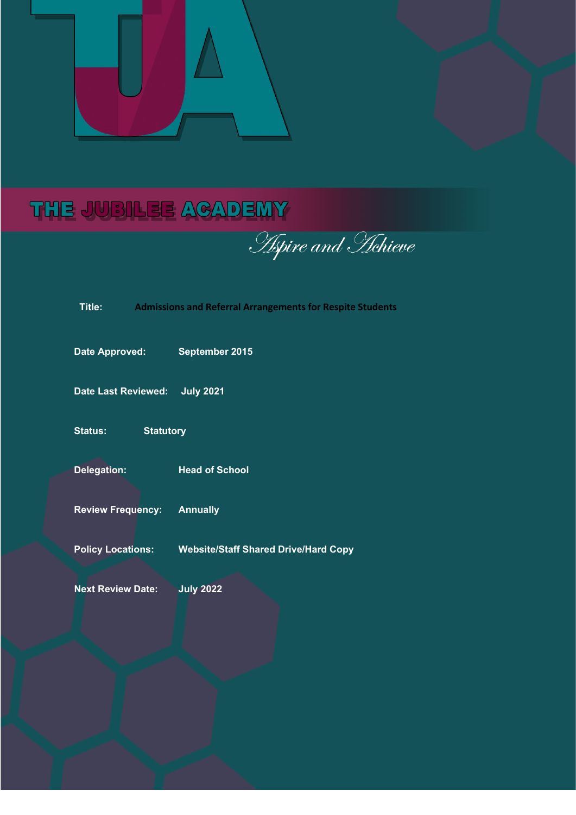

# THE JUBILEE ACADEMY

**Aspire and Hchieve** 

k,

| l Itle:                     |  | <b>Admissions and Referral Arrangements for Respite Studer</b> |
|-----------------------------|--|----------------------------------------------------------------|
| <b>Date Approved:</b>       |  | September 2015                                                 |
| <b>Date Last Reviewed:</b>  |  | <b>July 2021</b>                                               |
| Status:<br><b>Statutory</b> |  |                                                                |
| <b>Delegation:</b>          |  | <b>Head of School</b>                                          |
| <b>Review Frequency:</b>    |  | <b>Annually</b>                                                |
| <b>Policy Locations:</b>    |  | <b>Website/Staff Shared Drive/Hard Copy</b>                    |
| <b>Next Review Date:</b>    |  | <b>July 2022</b>                                               |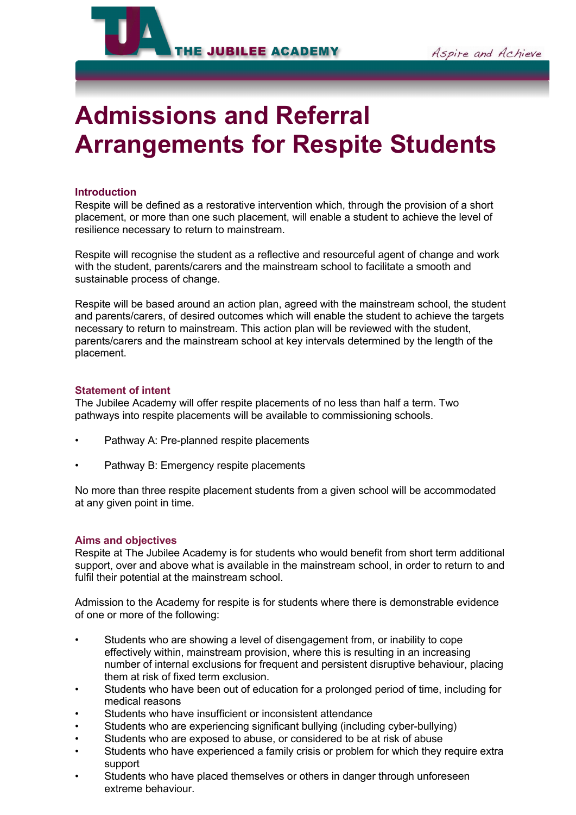

# **Admissions and Referral Arrangements for Respite Students**

### **Introduction**

Respite will be defined as a restorative intervention which, through the provision of a short placement, or more than one such placement, will enable a student to achieve the level of resilience necessary to return to mainstream.

Respite will recognise the student as a reflective and resourceful agent of change and work with the student, parents/carers and the mainstream school to facilitate a smooth and sustainable process of change.

Respite will be based around an action plan, agreed with the mainstream school, the student and parents/carers, of desired outcomes which will enable the student to achieve the targets necessary to return to mainstream. This action plan will be reviewed with the student, parents/carers and the mainstream school at key intervals determined by the length of the placement.

#### **Statement of intent**

The Jubilee Academy will offer respite placements of no less than half a term. Two pathways into respite placements will be available to commissioning schools.

- Pathway A: Pre-planned respite placements
- Pathway B: Emergency respite placements

No more than three respite placement students from a given school will be accommodated at any given point in time.

#### **Aims and objectives**

Respite at The Jubilee Academy is for students who would benefit from short term additional support, over and above what is available in the mainstream school, in order to return to and fulfil their potential at the mainstream school.

Admission to the Academy for respite is for students where there is demonstrable evidence of one or more of the following:

- Students who are showing a level of disengagement from, or inability to cope effectively within, mainstream provision, where this is resulting in an increasing number of internal exclusions for frequent and persistent disruptive behaviour, placing them at risk of fixed term exclusion.
- Students who have been out of education for a prolonged period of time, including for medical reasons
- Students who have insufficient or inconsistent attendance
- Students who are experiencing significant bullying (including cyber-bullying)
- Students who are exposed to abuse, or considered to be at risk of abuse
- Students who have experienced a family crisis or problem for which they require extra support
- Students who have placed themselves or others in danger through unforeseen extreme behaviour.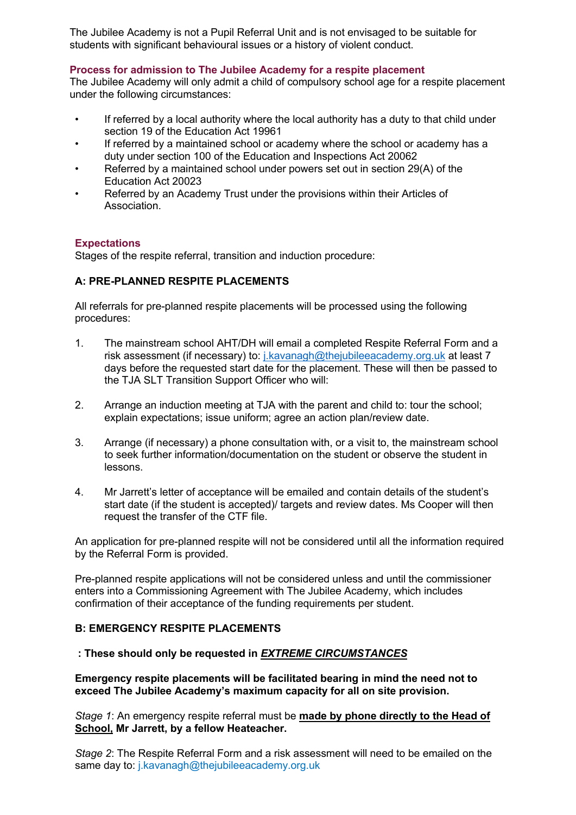The Jubilee Academy is not a Pupil Referral Unit and is not envisaged to be suitable for students with significant behavioural issues or a history of violent conduct.

#### **Process for admission to The Jubilee Academy for a respite placement**

The Jubilee Academy will only admit a child of compulsory school age for a respite placement under the following circumstances:

- If referred by a local authority where the local authority has a duty to that child under section 19 of the Education Act 19961
- If referred by a maintained school or academy where the school or academy has a duty under section 100 of the Education and Inspections Act 20062
- Referred by a maintained school under powers set out in section 29(A) of the Education Act 20023
- Referred by an Academy Trust under the provisions within their Articles of Association.

#### **Expectations**

Stages of the respite referral, transition and induction procedure:

# **A: PRE-PLANNED RESPITE PLACEMENTS**

All referrals for pre-planned respite placements will be processed using the following procedures:

- 1. The mainstream school AHT/DH will email a completed Respite Referral Form and a risk assessment (if necessary) to: [j.kavanagh@thejubileeacademy.org.uk](mailto:j.kavanagh@thejubileeacademy.org.uk) at least 7 days before the requested start date for the placement. These will then be passed to the TJA SLT Transition Support Officer who will:
- 2. Arrange an induction meeting at TJA with the parent and child to: tour the school; explain expectations; issue uniform; agree an action plan/review date.
- 3. Arrange (if necessary) a phone consultation with, or a visit to, the mainstream school to seek further information/documentation on the student or observe the student in lessons.
- 4. Mr Jarrett's letter of acceptance will be emailed and contain details of the student's start date (if the student is accepted)/ targets and review dates. Ms Cooper will then request the transfer of the CTF file.

An application for pre-planned respite will not be considered until all the information required by the Referral Form is provided.

Pre-planned respite applications will not be considered unless and until the commissioner enters into a Commissioning Agreement with The Jubilee Academy, which includes confirmation of their acceptance of the funding requirements per student.

#### **B: EMERGENCY RESPITE PLACEMENTS**

# **: These should only be requested in** *EXTREME CIRCUMSTANCES*

**Emergency respite placements will be facilitated bearing in mind the need not to exceed The Jubilee Academy's maximum capacity for all on site provision.** 

*Stage 1*: An emergency respite referral must be **made by phone directly to the Head of School, Mr Jarrett, by a fellow Heateacher.**

*Stage 2*: The Respite Referral Form and a risk assessment will need to be emailed on the same day to: j.kavanagh@thejubileeacademy.org.uk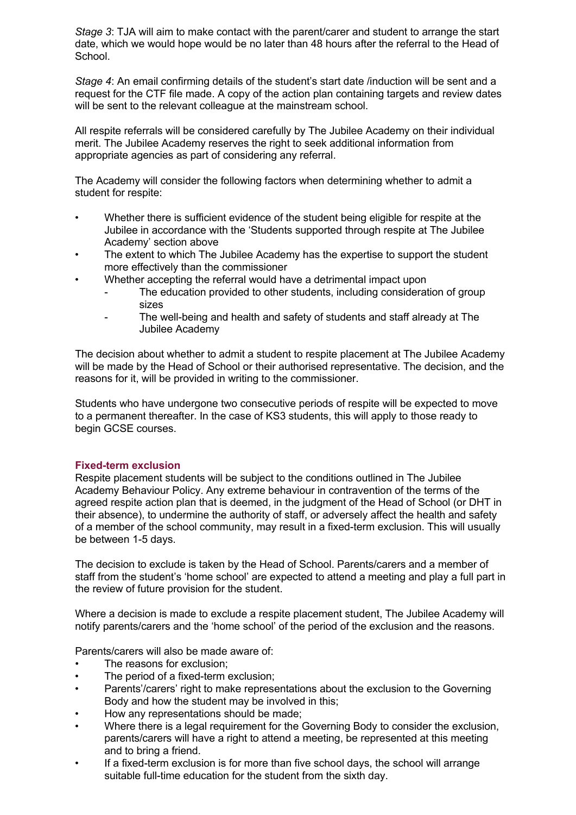*Stage 3*: TJA will aim to make contact with the parent/carer and student to arrange the start date, which we would hope would be no later than 48 hours after the referral to the Head of School.

*Stage 4*: An email confirming details of the student's start date /induction will be sent and a request for the CTF file made. A copy of the action plan containing targets and review dates will be sent to the relevant colleague at the mainstream school.

All respite referrals will be considered carefully by The Jubilee Academy on their individual merit. The Jubilee Academy reserves the right to seek additional information from appropriate agencies as part of considering any referral.

The Academy will consider the following factors when determining whether to admit a student for respite:

- Whether there is sufficient evidence of the student being eligible for respite at the Jubilee in accordance with the 'Students supported through respite at The Jubilee Academy' section above
- The extent to which The Jubilee Academy has the expertise to support the student more effectively than the commissioner
- Whether accepting the referral would have a detrimental impact upon
	- The education provided to other students, including consideration of group sizes
	- The well-being and health and safety of students and staff already at The Jubilee Academy

The decision about whether to admit a student to respite placement at The Jubilee Academy will be made by the Head of School or their authorised representative. The decision, and the reasons for it, will be provided in writing to the commissioner.

Students who have undergone two consecutive periods of respite will be expected to move to a permanent thereafter. In the case of KS3 students, this will apply to those ready to begin GCSE courses.

# **Fixed-term exclusion**

Respite placement students will be subject to the conditions outlined in The Jubilee Academy Behaviour Policy. Any extreme behaviour in contravention of the terms of the agreed respite action plan that is deemed, in the judgment of the Head of School (or DHT in their absence), to undermine the authority of staff, or adversely affect the health and safety of a member of the school community, may result in a fixed-term exclusion. This will usually be between 1-5 days.

The decision to exclude is taken by the Head of School. Parents/carers and a member of staff from the student's 'home school' are expected to attend a meeting and play a full part in the review of future provision for the student.

Where a decision is made to exclude a respite placement student, The Jubilee Academy will notify parents/carers and the 'home school' of the period of the exclusion and the reasons.

Parents/carers will also be made aware of:

- The reasons for exclusion:
- The period of a fixed-term exclusion:
- Parents'/carers' right to make representations about the exclusion to the Governing Body and how the student may be involved in this;
- How any representations should be made;
- Where there is a legal requirement for the Governing Body to consider the exclusion, parents/carers will have a right to attend a meeting, be represented at this meeting and to bring a friend.
- If a fixed-term exclusion is for more than five school days, the school will arrange suitable full-time education for the student from the sixth day.